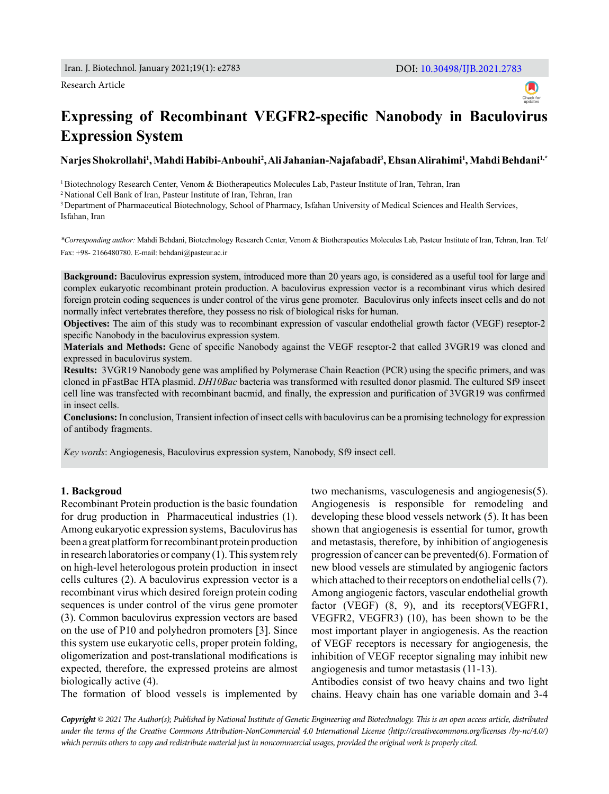#### Research Article



# **Expressing of Recombinant VEGFR2-specific Nanobody in Baculovirus Expression System**

## **Narjes Shokrollahi<sup>1</sup> , Mahdi Habibi-Anbouhi<sup>2</sup> , Ali Jahanian-Najafabadi<sup>3</sup> , Ehsan Alirahimi<sup>1</sup> , Mahdi Behdani1,\***

1 Biotechnology Research Center, Venom & Biotherapeutics Molecules Lab, Pasteur Institute of Iran, Tehran, Iran

2 National Cell Bank of Iran, Pasteur Institute of Iran, Tehran, Iran

<sup>3</sup> Department of Pharmaceutical Biotechnology, School of Pharmacy, Isfahan University of Medical Sciences and Health Services, Isfahan, Iran

*\*Corresponding author:* Mahdi Behdani, Biotechnology Research Center, Venom & Biotherapeutics Molecules Lab, Pasteur Institute of Iran, Tehran, Iran. Tel/ Fax: +98- 2166480780. E-mail: behdani@pasteur.ac.ir

**Background:** Baculovirus expression system, introduced more than 20 years ago, is considered as a useful tool for large and complex eukaryotic recombinant protein production. A baculovirus expression vector is a recombinant virus which desired foreign protein coding sequences is under control of the virus gene promoter. Baculovirus only infects insect cells and do not normally infect vertebrates therefore, they possess no risk of biological risks for human.

**Objectives:** The aim of this study was to recombinant expression of vascular endothelial growth factor (VEGF) reseptor-2 specific Nanobody in the baculovirus expression system.

**Materials and Methods:** Gene of specific Nanobody against the VEGF reseptor-2 that called 3VGR19 was cloned and expressed in baculovirus system.

**Results:** 3VGR19 Nanobody gene was amplified by Polymerase Chain Reaction (PCR) using the specific primers, and was cloned in pFastBac HTA plasmid. *DH10Bac* bacteria was transformed with resulted donor plasmid. The cultured Sf9 insect cell line was transfected with recombinant bacmid, and finally, the expression and purification of 3VGR19 was confirmed in insect cells.

**Conclusions:** In conclusion, Transient infection of insect cells with baculovirus can be a promising technology for expression of antibody fragments.

*Key words*: Angiogenesis, Baculovirus expression system, Nanobody, Sf9 insect cell.

#### **1. Backgroud**

Recombinant Protein production is the basic foundation for drug production in Pharmaceutical industries (1). Among eukaryotic expression systems, Baculovirus has been a great platform for recombinant protein production in research laboratories or company (1). This system rely on high-level heterologous protein production in insect cells cultures (2). A baculovirus expression vector is a recombinant virus which desired foreign protein coding sequences is under control of the virus gene promoter (3). Common baculovirus expression vectors are based on the use of P10 and polyhedron promoters [3]. Since this system use eukaryotic cells, proper protein folding, oligomerization and post-translational modifications is expected, therefore, the expressed proteins are almost biologically active (4).

The formation of blood vessels is implemented by

two mechanisms, vasculogenesis and angiogenesis(5). Angiogenesis is responsible for remodeling and developing these blood vessels network (5). It has been shown that angiogenesis is essential for tumor, growth and metastasis, therefore, by inhibition of angiogenesis progression of cancer can be prevented(6). Formation of new blood vessels are stimulated by angiogenic factors which attached to their receptors on endothelial cells (7). Among angiogenic factors, vascular endothelial growth factor (VEGF)  $(8, 9)$ , and its receptors (VEGFR1, VEGFR2, VEGFR3) (10), has been shown to be the most important player in angiogenesis. As the reaction of VEGF receptors is necessary for angiogenesis, the inhibition of VEGF receptor signaling may inhibit new angiogenesis and tumor metastasis (11-13).

Antibodies consist of two heavy chains and two light chains. Heavy chain has one variable domain and 3-4

*Copyright © 2021 The Author(s); Published by National Institute of Genetic Engineering and Biotechnology. This is an open access article, distributed under the terms of the Creative Commons Attribution-NonCommercial 4.0 International License (http://creativecommons.org/licenses /by-nc/4.0/) which permits others to copy and redistribute material just in noncommercial usages, provided the original work is properly cited.*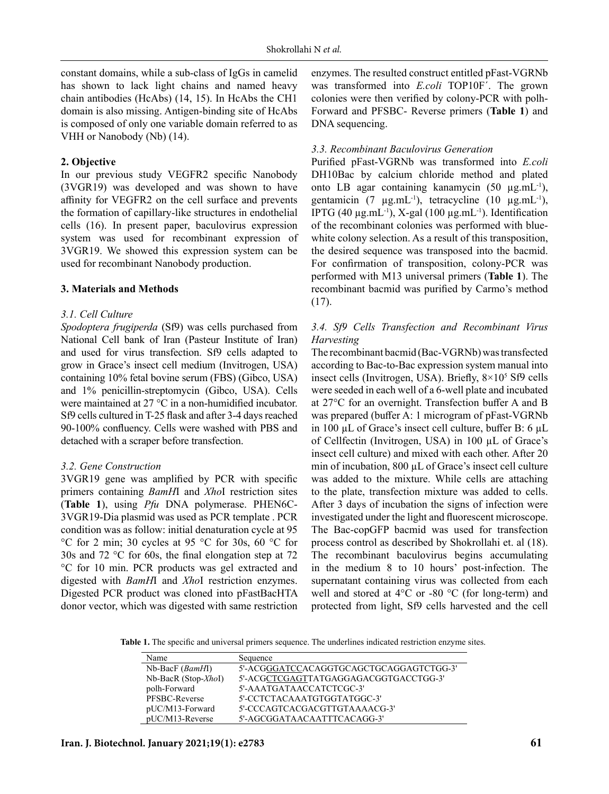constant domains, while a sub-class of IgGs in camelid has shown to lack light chains and named heavy chain antibodies (HcAbs) (14, 15). In HcAbs the CH1 domain is also missing. Antigen-binding site of HcAbs is composed of only one variable domain referred to as VHH or Nanobody (Nb) (14).

### **2. Objective**

In our previous study VEGFR2 specific Nanobody (3VGR19) was developed and was shown to have affinity for VEGFR2 on the cell surface and prevents the formation of capillary-like structures in endothelial cells (16). In present paper, baculovirus expression system was used for recombinant expression of 3VGR19. We showed this expression system can be used for recombinant Nanobody production.

### **3. Materials and Methods**

### *3.1. Cell Culture*

*Spodoptera frugiperda* (Sf9) was cells purchased from National Cell bank of Iran (Pasteur Institute of Iran) and used for virus transfection. Sf9 cells adapted to grow in Grace's insect cell medium (Invitrogen, USA) containing 10% fetal bovine serum (FBS) (Gibco, USA) and 1% penicillin-streptomycin (Gibco, USA). Cells were maintained at 27 °C in a non-humidified incubator. Sf9 cells cultured in T-25 flask and after 3-4 days reached 90-100% confluency. Cells were washed with PBS and detached with a scraper before transfection.

## *3.2. Gene Construction*

3VGR19 gene was amplified by PCR with specific primers containing *BamH*I and *Xho*I restriction sites (**Table 1**), using *Pfu* DNA polymerase. PHEN6C-3VGR19-Dia plasmid was used as PCR template . PCR condition was as follow: initial denaturation cycle at 95 °C for 2 min; 30 cycles at 95 °C for 30s, 60 °C for 30s and 72 °C for 60s, the final elongation step at 72 °C for 10 min. PCR products was gel extracted and digested with *BamH*I and *Xho*I restriction enzymes. Digested PCR product was cloned into pFastBacHTA donor vector, which was digested with same restriction enzymes. The resulted construct entitled pFast-VGRNb was transformed into *E.coli* TOP10F´. The grown colonies were then verified by colony-PCR with polh-Forward and PFSBC- Reverse primers (**Table 1**) and DNA sequencing.

## *3.3. Recombinant Baculovirus Generation*

Purified pFast-VGRNb was transformed into *E.coli* DH10Bac by calcium chloride method and plated onto LB agar containing kanamycin (50 µg.mL-1), gentamicin (7  $\mu$ g.mL<sup>-1</sup>), tetracycline (10  $\mu$ g.mL<sup>-1</sup>), IPTG (40  $\mu$ g.mL<sup>-1</sup>), X-gal (100  $\mu$ g.mL<sup>-1</sup>). Identification of the recombinant colonies was performed with bluewhite colony selection. As a result of this transposition, the desired sequence was transposed into the bacmid. For confirmation of transposition, colony-PCR was performed with M13 universal primers (**Table 1**). The recombinant bacmid was purified by Carmo's method (17).

## *3.4. Sf9 Cells Transfection and Recombinant Virus Harvesting*

The recombinant bacmid (Bac-VGRNb) was transfected according to Bac-to-Bac expression system manual into insect cells (Invitrogen, USA). Briefly, 8×10<sup>5</sup> Sf9 cells were seeded in each well of a 6-well plate and incubated at 27°C for an overnight. Transfection buffer A and B was prepared (buffer A: 1 microgram of pFast-VGRNb in 100 µL of Grace's insect cell culture, buffer B: 6 µL of Cellfectin (Invitrogen, USA) in 100 µL of Grace's insect cell culture) and mixed with each other. After 20 min of incubation, 800 µL of Grace's insect cell culture was added to the mixture. While cells are attaching to the plate, transfection mixture was added to cells. After 3 days of incubation the signs of infection were investigated under the light and fluorescent microscope. The Bac-copGFP bacmid was used for transfection process control as described by Shokrollahi et. al (18). The recombinant baculovirus begins accumulating in the medium 8 to 10 hours' post-infection. The supernatant containing virus was collected from each well and stored at 4°C or -80 °C (for long-term) and protected from light, Sf9 cells harvested and the cell

**Table 1.** The specific and universal primers sequence. The underlines indicated restriction enzyme sites.

| Name                                | Sequence                                |
|-------------------------------------|-----------------------------------------|
| $Nb\text{-}Back$ ( <i>BamHI</i> )   | 5'-ACGGGATCCACAGGTGCAGCTGCAGGAGTCTGG-3' |
| $Nb\text{-}Back (Stop\text{-}XhoI)$ | 5'-ACGCTCGAGTTATGAGGAGACGGTGACCTGG-3'   |
| polh-Forward                        | 5'-AAATGATAACCATCTCGC-3'                |
| PFSBC-Reverse                       | 5'-CCTCTACAAATGTGGTATGGC-3'             |
| pUC/M13-Forward                     | 5'-CCCAGTCACGACGTTGTAAAACG-3'           |
| pUC/M13-Reverse                     | 5'-AGCGGATAACAATTTCACAGG-3'             |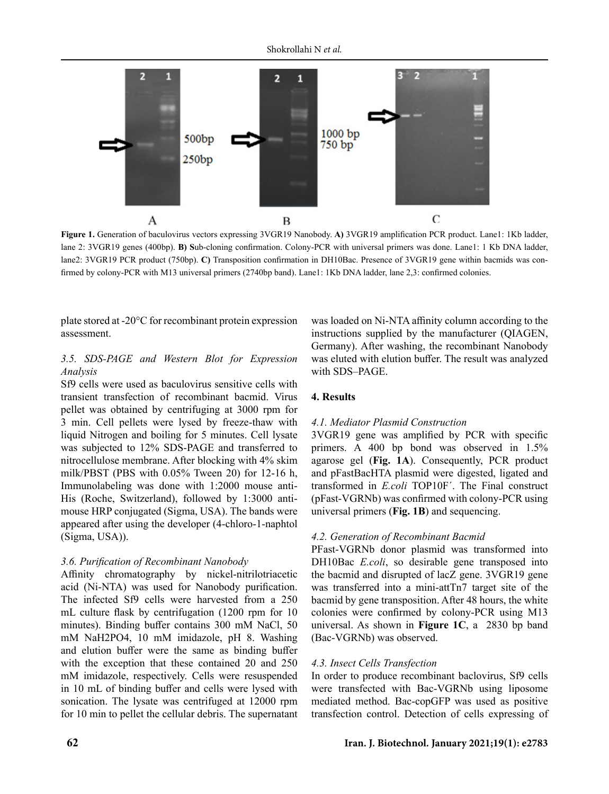

**Figure 1.** Generation of baculovirus vectors expressing 3VGR19 Nanobody. **A)** 3VGR19 amplification PCR product. Lane1: 1Kb ladder, lane 2: 3VGR19 genes (400bp). **B) S**ub-cloning confirmation. Colony-PCR with universal primers was done. Lane1: 1 Kb DNA ladder, lane2: 3VGR19 PCR product (750bp). **C)** Transposition confirmation in DH10Bac. Presence of 3VGR19 gene within bacmids was confirmed by colony-PCR with M13 universal primers (2740bp band). Lane1: 1Kb DNA ladder, lane 2,3: confirmed colonies.

plate stored at -20°C for recombinant protein expression assessment.

## *3.5. SDS-PAGE and Western Blot for Expression Analysis*

Sf9 cells were used as baculovirus sensitive cells with transient transfection of recombinant bacmid. Virus pellet was obtained by centrifuging at 3000 rpm for 3 min. Cell pellets were lysed by freeze-thaw with liquid Nitrogen and boiling for 5 minutes. Cell lysate was subjected to 12% SDS-PAGE and transferred to nitrocellulose membrane. After blocking with 4% skim milk/PBST (PBS with 0.05% Tween 20) for 12-16 h, Immunolabeling was done with 1:2000 mouse anti-His (Roche, Switzerland), followed by 1:3000 antimouse HRP conjugated (Sigma, USA). The bands were appeared after using the developer (4-chloro-1-naphtol (Sigma, USA)).

## *3.6. Purification of Recombinant Nanobody*

Affinity chromatography by nickel-nitrilotriacetic acid (Ni-NTA) was used for Nanobody purification. The infected Sf9 cells were harvested from a 250 mL culture flask by centrifugation (1200 rpm for 10 minutes). Binding buffer contains 300 mM NaCl, 50 mM NaH2PO4, 10 mM imidazole, pH 8. Washing and elution buffer were the same as binding buffer with the exception that these contained 20 and 250 mM imidazole, respectively. Cells were resuspended in 10 mL of binding buffer and cells were lysed with sonication. The lysate was centrifuged at 12000 rpm for 10 min to pellet the cellular debris. The supernatant was loaded on Ni-NTA affinity column according to the instructions supplied by the manufacturer (QIAGEN, Germany). After washing, the recombinant Nanobody was eluted with elution buffer. The result was analyzed with SDS–PAGE.

### **4. Results**

#### *4.1. Mediator Plasmid Construction*

3VGR19 gene was amplified by PCR with specific primers. A 400 bp bond was observed in 1.5% agarose gel (**Fig. 1A**). Consequently, PCR product and pFastBacHTA plasmid were digested, ligated and transformed in *E.coli* TOP10F´. The Final construct (pFast-VGRNb) was confirmed with colony-PCR using universal primers (**Fig. 1B**) and sequencing.

## *4.2. Generation of Recombinant Bacmid*

PFast-VGRNb donor plasmid was transformed into DH10Bac *E.coli*, so desirable gene transposed into the bacmid and disrupted of lacZ gene. 3VGR19 gene was transferred into a mini-attTn7 target site of the bacmid by gene transposition. After 48 hours, the white colonies were confirmed by colony-PCR using M13 universal. As shown in **Figure 1C**, a 2830 bp band (Bac-VGRNb) was observed.

#### *4.3. Insect Cells Transfection*

In order to produce recombinant baclovirus, Sf9 cells were transfected with Bac-VGRNb using liposome mediated method. Bac-copGFP was used as positive transfection control. Detection of cells expressing of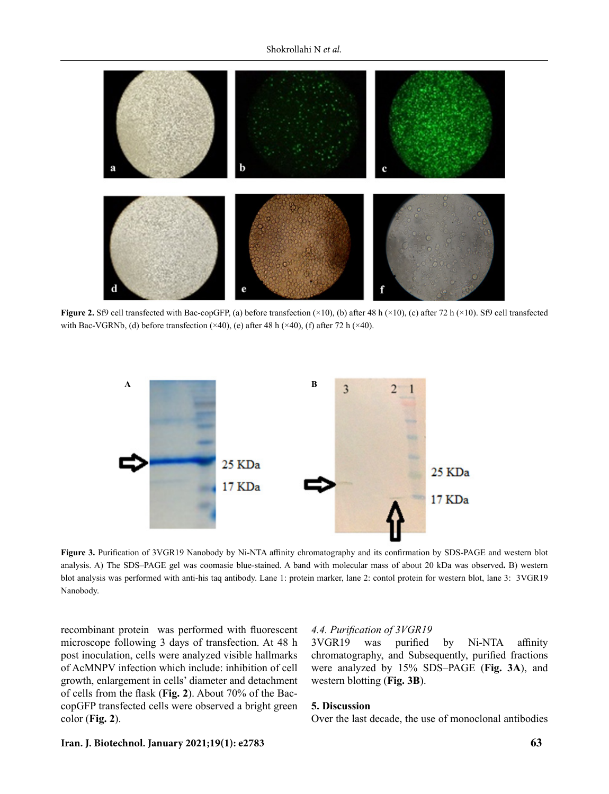

**Figure 2.** Sf9 cell transfected with Bac-copGFP, (a) before transfection  $(\times 10)$ , (b) after 48 h  $(\times 10)$ , (c) after 72 h  $(\times 10)$ . Sf9 cell transfected with Bac-VGRNb, (d) before transfection  $(\times 40)$ , (e) after 48 h  $(\times 40)$ , (f) after 72 h  $(\times 40)$ .



**Figure 3.** Purification of 3VGR19 Nanobody by Ni-NTA affinity chromatography and its confirmation by SDS-PAGE and western blot analysis. A) The SDS–PAGE gel was coomasie blue-stained. A band with molecular mass of about 20 kDa was observed**.** B) western blot analysis was performed with anti-his taq antibody. Lane 1: protein marker, lane 2: contol protein for western blot, lane 3: 3VGR19 Nanobody.

recombinant protein was performed with fluorescent microscope following 3 days of transfection. At 48 h post inoculation, cells were analyzed visible hallmarks of AcMNPV infection which include: inhibition of cell growth, enlargement in cells' diameter and detachment of cells from the flask (**Fig. 2**). About 70% of the BaccopGFP transfected cells were observed a bright green color (**Fig. 2**).

#### *4.4. Purification of 3VGR19*

3VGR19 was purified by Ni-NTA affinity chromatography, and Subsequently, purified fractions were analyzed by 15% SDS–PAGE (**Fig. 3A**), and western blotting (**Fig. 3B**).

#### **5. Discussion**

Over the last decade, the use of monoclonal antibodies

#### **Iran. J. Biotechnol. January 2021;19(1): e2783 63**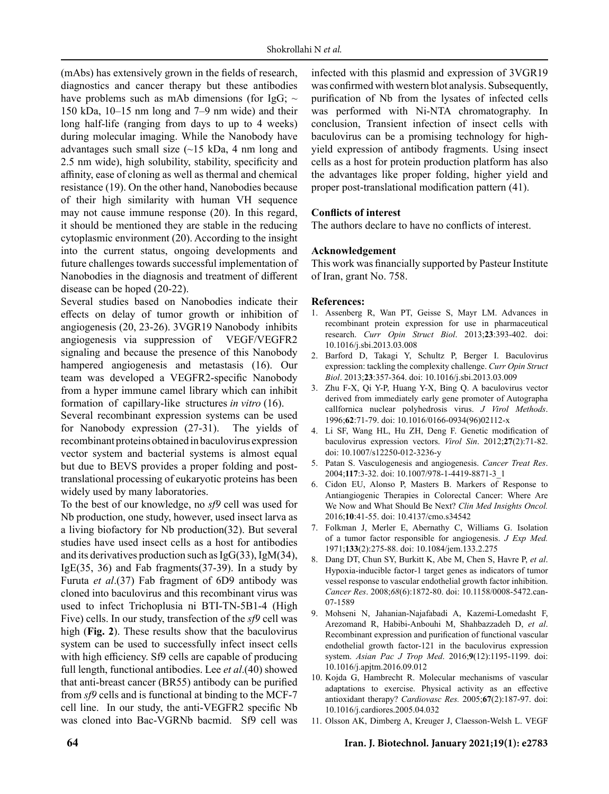(mAbs) has extensively grown in the fields of research, diagnostics and cancer therapy but these antibodies have problems such as mAb dimensions (for IgG;  $\sim$ 150 kDa, 10–15 nm long and 7–9 nm wide) and their long half-life (ranging from days to up to 4 weeks) during molecular imaging. While the Nanobody have advantages such small size  $(\sim 15 \text{ kDa}, 4 \text{ nm}$  long and 2.5 nm wide), high solubility, stability, specificity and affinity, ease of cloning as well as thermal and chemical resistance (19). On the other hand, Nanobodies because of their high similarity with human VH sequence may not cause immune response (20). In this regard, it should be mentioned they are stable in the reducing cytoplasmic environment (20). According to the insight into the current status, ongoing developments and future challenges towards successful implementation of Nanobodies in the diagnosis and treatment of different disease can be hoped (20-22).

Several studies based on Nanobodies indicate their effects on delay of tumor growth or inhibition of angiogenesis (20, 23-26). 3VGR19 Nanobody inhibits angiogenesis via suppression of VEGF/VEGFR2 signaling and because the presence of this Nanobody hampered angiogenesis and metastasis (16). Our team was developed a VEGFR2-specific Nanobody from a hyper immune camel library which can inhibit formation of capillary-like structures *in vitro* (16).

Several recombinant expression systems can be used for Nanobody expression (27-31). The yields of recombinant proteins obtained in baculovirus expression vector system and bacterial systems is almost equal but due to BEVS provides a proper folding and posttranslational processing of eukaryotic proteins has been widely used by many laboratories.

To the best of our knowledge, no *sf9* cell was used for Nb production, one study, however, used insect larva as a living biofactory for Nb production(32). But several studies have used insect cells as a host for antibodies and its derivatives production such as  $IgG(33)$ , IgM $(34)$ , Ig $E(35, 36)$  and Fab fragments $(37-39)$ . In a study by Furuta *et al*.(37) Fab fragment of 6D9 antibody was cloned into baculovirus and this recombinant virus was used to infect Trichoplusia ni BTI-TN-5B1-4 (High Five) cells. In our study, transfection of the *sf9* cell was high (**Fig. 2**). These results show that the baculovirus system can be used to successfully infect insect cells with high efficiency. Sf9 cells are capable of producing full length, functional antibodies. Lee *et al*.(40) showed that anti-breast cancer (BR55) antibody can be purified from *sf9* cells and is functional at binding to the MCF-7 cell line. In our study, the anti-VEGFR2 specific Nb was cloned into Bac-VGRNb bacmid. Sf9 cell was infected with this plasmid and expression of 3VGR19 was confirmed with western blot analysis. Subsequently, purification of Nb from the lysates of infected cells was performed with Ni-NTA chromatography. In conclusion, Transient infection of insect cells with baculovirus can be a promising technology for highyield expression of antibody fragments. Using insect cells as a host for protein production platform has also the advantages like proper folding, higher yield and proper post-translational modification pattern (41).

## **Conflicts of interest**

The authors declare to have no conflicts of interest.

## **Acknowledgement**

This work was financially supported by Pasteur Institute of Iran, grant No. 758.

#### **References:**

- 1. Assenberg R, Wan PT, Geisse S, Mayr LM. Advances in recombinant protein expression for use in pharmaceutical research. *Curr Opin Struct Biol*. 2013;**23**:393-402. doi: 10.1016/j.sbi.2013.03.008
- 2. Barford D, Takagi Y, Schultz P, Berger I. Baculovirus expression: tackling the complexity challenge. *Curr Opin Struct Biol*. 2013;**23**:357-364. doi: 10.1016/j.sbi.2013.03.009
- 3. Zhu F-X, Qi Y-P, Huang Y-X, Bing Q. A baculovirus vector derived from immediately early gene promoter of Autographa callfornica nuclear polyhedrosis virus. *J Virol Methods*. 1996;**62**:71-79. doi: 10.1016/0166-0934(96)02112-x
- 4. Li SF, Wang HL, Hu ZH, Deng F. Genetic modification of baculovirus expression vectors. *Virol Sin*. 2012;**27**(2):71-82. doi: 10.1007/s12250-012-3236-y
- 5. Patan S. Vasculogenesis and angiogenesis. *Cancer Treat Res*. 2004;**117**:3-32. doi: 10.1007/978-1-4419-8871-3\_1
- 6. Cidon EU, Alonso P, Masters B. Markers of Response to Antiangiogenic Therapies in Colorectal Cancer: Where Are We Now and What Should Be Next? *Clin Med Insights Oncol.* 2016;**10**:41-55. doi: 10.4137/cmo.s34542
- 7. Folkman J, Merler E, Abernathy C, Williams G. Isolation of a tumor factor responsible for angiogenesis. *J Exp Med.* 1971;**133**(2):275-88. doi: 10.1084/jem.133.2.275
- 8. Dang DT, Chun SY, Burkitt K, Abe M, Chen S, Havre P, *et al*. Hypoxia-inducible factor-1 target genes as indicators of tumor vessel response to vascular endothelial growth factor inhibition. *Cancer Res*. 2008;*68*(6):1872-80. doi: 10.1158/0008-5472.can-07-1589
- 9. Mohseni N, Jahanian-Najafabadi A, Kazemi-Lomedasht F, Arezomand R, Habibi-Anbouhi M, Shahbazzadeh D, *et al*. Recombinant expression and purification of functional vascular endothelial growth factor-121 in the baculovirus expression system. *Asian Pac J Trop Med*. 2016;**9**(12):1195-1199. doi: 10.1016/j.apjtm.2016.09.012
- 10. Kojda G, Hambrecht R. Molecular mechanisms of vascular adaptations to exercise. Physical activity as an effective antioxidant therapy? *Cardiovasc Res.* 2005;**67**(2):187-97. doi: 10.1016/j.cardiores.2005.04.032
- 11. Olsson AK, Dimberg A, Kreuger J, Claesson-Welsh L. VEGF

#### **64 Iran. J. Biotechnol. January 2021;19(1): e2783**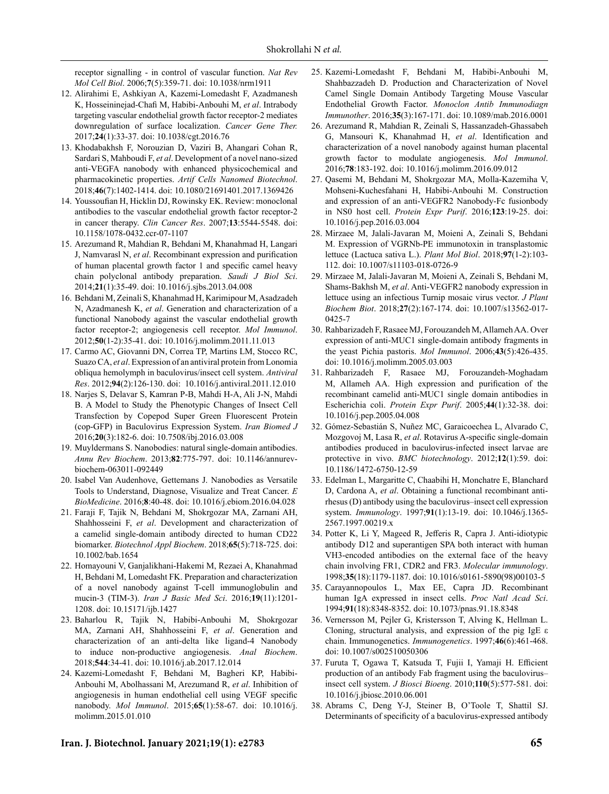receptor signalling - in control of vascular function. *Nat Rev Mol Cell Biol*. 2006;**7**(5):359-71. doi: 10.1038/nrm1911

- 12. Alirahimi E, Ashkiyan A, Kazemi-Lomedasht F, Azadmanesh K, Hosseininejad-Chafi M, Habibi-Anbouhi M, *et al*. Intrabody targeting vascular endothelial growth factor receptor-2 mediates downregulation of surface localization. *Cancer Gene Ther.*  2017;**24**(1):33-37. doi: 10.1038/cgt.2016.76
- 13. Khodabakhsh F, Norouzian D, Vaziri B, Ahangari Cohan R, Sardari S, Mahboudi F, *et al*. Development of a novel nano-sized anti-VEGFA nanobody with enhanced physicochemical and pharmacokinetic properties. *Artif Cells Nanomed Biotechnol*. 2018;**46**(7):1402-1414. doi: 10.1080/21691401.2017.1369426
- 14. Youssoufian H, Hicklin DJ, Rowinsky EK. Review: monoclonal antibodies to the vascular endothelial growth factor receptor-2 in cancer therapy. *Clin Cancer Res*. 2007;**13**:5544-5548. doi: 10.1158/1078-0432.ccr-07-1107
- 15. Arezumand R, Mahdian R, Behdani M, Khanahmad H, Langari J, Namvarasl N, *et al*. Recombinant expression and purification of human placental growth factor 1 and specific camel heavy chain polyclonal antibody preparation. *Saudi J Biol Sci*. 2014;**21**(1):35-49. doi: 10.1016/j.sjbs.2013.04.008
- 16. Behdani M, Zeinali S, Khanahmad H, Karimipour M, Asadzadeh N, Azadmanesh K, *et al*. Generation and characterization of a functional Nanobody against the vascular endothelial growth factor receptor-2; angiogenesis cell receptor. *Mol Immunol*. 2012;**50**(1-2):35-41. doi: 10.1016/j.molimm.2011.11.013
- 17. Carmo AC, Giovanni DN, Correa TP, Martins LM, Stocco RC, Suazo CA, *et al*. Expression of an antiviral protein from Lonomia obliqua hemolymph in baculovirus/insect cell system. *Antiviral Res*. 2012;**94**(2):126-130. doi: 10.1016/j.antiviral.2011.12.010
- 18. Narjes S, Delavar S, Kamran P-B, Mahdi H-A, Ali J-N, Mahdi B. A Model to Study the Phenotypic Changes of Insect Cell Transfection by Copepod Super Green Fluorescent Protein (cop-GFP) in Baculovirus Expression System. *Iran Biomed J* 2016;**20**(3):182-6. doi: 10.7508/ibj.2016.03.008
- 19. Muyldermans S. Nanobodies: natural single-domain antibodies. *Annu Rev Biochem*. 2013;**82**:775-797. doi: 10.1146/annurevbiochem-063011-092449
- 20. Isabel Van Audenhove, Gettemans J. Nanobodies as Versatile Tools to Understand, Diagnose, Visualize and Treat Cancer. *E BioMedicine*. 2016;**8**:40-48. doi: 10.1016/j.ebiom.2016.04.028
- 21. Faraji F, Tajik N, Behdani M, Shokrgozar MA, Zarnani AH, Shahhosseini F, *et al*. Development and characterization of a camelid single-domain antibody directed to human CD22 biomarker. *Biotechnol Appl Biochem*. 2018;**65**(5):718-725. doi: 10.1002/bab.1654
- 22. Homayouni V, Ganjalikhani-Hakemi M, Rezaei A, Khanahmad H, Behdani M, Lomedasht FK. Preparation and characterization of a novel nanobody against T-cell immunoglobulin and mucin-3 (TIM-3). *Iran J Basic Med Sci*. 2016;**19**(11):1201- 1208. doi: 10.15171/ijb.1427
- 23. Baharlou R, Tajik N, Habibi-Anbouhi M, Shokrgozar MA, Zarnani AH, Shahhosseini F, *et al*. Generation and characterization of an anti-delta like ligand-4 Nanobody to induce non-productive angiogenesis. *Anal Biochem*. 2018;**544**:34-41. doi: 10.1016/j.ab.2017.12.014
- 24. Kazemi-Lomedasht F, Behdani M, Bagheri KP, Habibi-Anbouhi M, Abolhassani M, Arezumand R, *et al*. Inhibition of angiogenesis in human endothelial cell using VEGF specific nanobody. *Mol Immunol*. 2015;**65**(1):58-67. doi: 10.1016/j. molimm.2015.01.010
- 25. Kazemi-Lomedasht F, Behdani M, Habibi-Anbouhi M, Shahbazzadeh D. Production and Characterization of Novel Camel Single Domain Antibody Targeting Mouse Vascular Endothelial Growth Factor. *Monoclon Antib Immunodiagn Immunother*. 2016;**35**(3):167-171. doi: 10.1089/mab.2016.0001
- 26. Arezumand R, Mahdian R, Zeinali S, Hassanzadeh-Ghassabeh G, Mansouri K, Khanahmad H, *et al*. Identification and characterization of a novel nanobody against human placental growth factor to modulate angiogenesis. *Mol Immunol*. 2016;**78**:183-192. doi: 10.1016/j.molimm.2016.09.012
- 27. Qasemi M, Behdani M, Shokrgozar MA, Molla-Kazemiha V, Mohseni-Kuchesfahani H, Habibi-Anbouhi M. Construction and expression of an anti-VEGFR2 Nanobody-Fc fusionbody in NS0 host cell. *Protein Expr Purif*. 2016;**123**:19-25. doi: 10.1016/j.pep.2016.03.004
- 28. Mirzaee M, Jalali-Javaran M, Moieni A, Zeinali S, Behdani M. Expression of VGRNb-PE immunotoxin in transplastomic lettuce (Lactuca sativa L.). *Plant Mol Biol*. 2018;**97**(1-2):103- 112. doi: 10.1007/s11103-018-0726-9
- 29. Mirzaee M, Jalali-Javaran M, Moieni A, Zeinali S, Behdani M, Shams-Bakhsh M, *et al*. Anti-VEGFR2 nanobody expression in lettuce using an infectious Turnip mosaic virus vector. *J Plant Biochem Biot*. 2018;**27**(2):167-174. doi: 10.1007/s13562-017- 0425-7
- 30. Rahbarizadeh F, Rasaee MJ, Forouzandeh M, Allameh AA. Over expression of anti-MUC1 single-domain antibody fragments in the yeast Pichia pastoris. *Mol Immunol*. 2006;**43**(5):426-435. doi: 10.1016/j.molimm.2005.03.003
- 31. Rahbarizadeh F, Rasaee MJ, Forouzandeh-Moghadam M, Allameh AA. High expression and purification of the recombinant camelid anti-MUC1 single domain antibodies in Escherichia coli. *Protein Expr Purif*. 2005;**44**(1):32-38. doi: 10.1016/j.pep.2005.04.008
- 32. Gómez-Sebastián S, Nuñez MC, Garaicoechea L, Alvarado C, Mozgovoj M, Lasa R, *et al*. Rotavirus A-specific single-domain antibodies produced in baculovirus-infected insect larvae are protective in vivo. *BMC biotechnology*. 2012;**12**(1):59. doi: 10.1186/1472-6750-12-59
- 33. Edelman L, Margaritte C, Chaabihi H, Monchatre E, Blanchard D, Cardona A, et al. Obtaining a functional recombinant antirhesus (D) antibody using the baculovirus–insect cell expression system. *Immunology*. 1997;**91**(1):13-19. doi: 10.1046/j.1365- 2567.1997.00219.x
- 34. Potter K, Li Y, Mageed R, Jefferis R, Capra J. Anti-idiotypic antibody D12 and superantigen SPA both interact with human VH3-encoded antibodies on the external face of the heavy chain involving FR1, CDR2 and FR3. *Molecular immunology*. 1998;**35**(18):1179-1187. doi: 10.1016/s0161-5890(98)00103-5
- 35. Carayannopoulos L, Max EE, Capra JD. Recombinant human IgA expressed in insect cells. *Proc Natl Acad Sci*. 1994;**91**(18):8348-8352. doi: 10.1073/pnas.91.18.8348
- 36. Vernersson M, Pejler G, Kristersson T, Alving K, Hellman L. Cloning, structural analysis, and expression of the pig IgE ε chain. Immunogenetics. *Immunogenetics*. 1997;**46**(6):461-468. doi: 10.1007/s002510050306
- 37. Furuta T, Ogawa T, Katsuda T, Fujii I, Yamaji H. Efficient production of an antibody Fab fragment using the baculovirus– insect cell system. *J Biosci Bioeng*. 2010;**110**(5):577-581. doi: 10.1016/j.jbiosc.2010.06.001
- 38. Abrams C, Deng Y-J, Steiner B, O'Toole T, Shattil SJ. Determinants of specificity of a baculovirus-expressed antibody

#### **Iran. J. Biotechnol. January 2021;19(1): e2783 65**